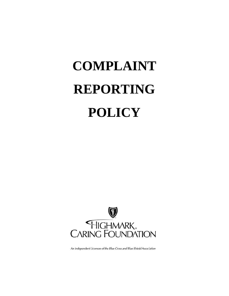# **COMPLAINT REPORTING POLICY**



An Independent Licensee of the Blue Cross and Blue Shield Association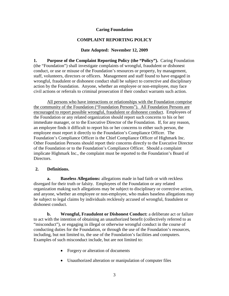### **Caring Foundation**

## **COMPLAINT REPORTING POLICY**

### **Date Adopted: November 12, 2009**

**1. Purpose of the Complaint Reporting Policy (the "Policy").** Caring Foundation (the "Foundation") shall investigate complaints of wrongful, fraudulent or dishonest conduct, or use or misuse of the Foundation's resources or property, by management, staff, volunteers, directors or officers. Management and staff found to have engaged in wrongful, fraudulent or dishonest conduct shall be subject to corrective and disciplinary action by the Foundation. Anyone, whether an employee or non-employee, may face civil actions or referrals to criminal prosecution if their conduct warrants such action.

All persons who have interactions or relationships with the Foundation comprise the community of the Foundation ("Foundation Persons"). All Foundation Persons are encouraged to report possible wrongful, fraudulent or dishonest conduct. Employees of the Foundation or any related organization should report such concerns to his or her immediate manager, or to the Executive Director of the Foundation. If, for any reason, an employee finds it difficult to report his or her concerns to either such person, the employee must report it directly to the Foundation's Compliance Officer. The Foundation's Compliance Officer is the Chief Compliance Officer of Highmark Inc. Other Foundation Persons should report their concerns directly to the Executive Director of the Foundation or to the Foundation's Compliance Officer. Should a complaint implicate Highmark Inc., the complaint must be reported to the Foundation's Board of Directors.

## **2. Definitions.**

**a. Baseless Allegations:** allegations made in bad faith or with reckless disregard for their truth or falsity. Employees of the Foundation or any related organization making such allegations may be subject to disciplinary or corrective action, and anyone, whether an employee or non-employee, who makes baseless allegations may be subject to legal claims by individuals recklessly accused of wrongful, fraudulent or dishonest conduct.

**b. Wrongful, Fraudulent or Dishonest Conduct:** a deliberate act or failure to act with the intention of obtaining an unauthorized benefit (collectively referred to as "misconduct"), or engaging in illegal or otherwise wrongful conduct in the course of conducting duties for the Foundation, or through the use of the Foundation's resources, including, but not limited to, the use of the Foundation's facilities and computers. Examples of such misconduct include, but are not limited to:

- Forgery or alteration of documents
- Unauthorized alteration or manipulation of computer files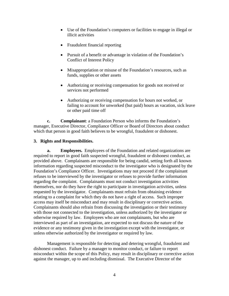- Use of the Foundation's computers or facilities to engage in illegal or illicit activities
- Fraudulent financial reporting
- Pursuit of a benefit or advantage in violation of the Foundation's Conflict of Interest Policy
- Misappropriation or misuse of the Foundation's resources, such as funds, supplies or other assets
- Authorizing or receiving compensation for goods not received or services not performed
- Authorizing or receiving compensation for hours not worked, or failing to account for unworked (but paid) hours as vacation, sick leave or other paid time off

**c. Complainant**: a Foundation Person who informs the Foundation's manager, Executive Director, Compliance Officer or Board of Directors about conduct which that person in good faith believes to be wrongful, fraudulent or dishonest.

#### **3. Rights and Responsibilities.**

**a. Employees.** Employees of the Foundation and related organizations are required to report in good faith suspected wrongful, fraudulent or dishonest conduct, as provided above. Complainants are responsible for being candid, setting forth all known information regarding suspected misconduct to the investigator who is designated by the Foundation's Compliance Officer. Investigations may not proceed if the complainant refuses to be interviewed by the investigator or refuses to provide further information regarding the complaint. Complainants must not conduct investigation activities themselves, nor do they have the right to participate in investigation activities, unless requested by the investigator. Complainants must refrain from obtaining evidence relating to a complaint for which they do not have a right of access. Such improper access may itself be misconduct and may result in disciplinary or corrective action. Complainants should also refrain from discussing the investigation or their testimony with those not connected to the investigation, unless authorized by the investigator or otherwise required by law. Employees who are not complainants, but who are interviewed as part of an investigation, are expected to not discuss the nature of the evidence or any testimony given in the investigation except with the investigator, or unless otherwise authorized by the investigator or required by law.

Management is responsible for detecting and detering wrongful, fraudulent and dishonest conduct. Failure by a manager to monitor conduct, or failure to report misconduct within the scope of this Policy, may result in disciplinary or corrective action against the manager, up to and including dismissal. The Executive Director of the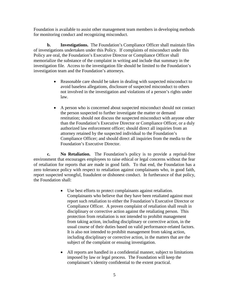Foundation is available to assist other management team members in developing methods for monitoring conduct and recognizing misconduct.

**b. Investigations.** The Foundation's Compliance Officer shall maintain files of investigations undertaken under this Policy. If complaints of misconduct under this Policy are oral, the Foundation's Executive Director or Compliance Officer shall memorialize the substance of the complaint in writing and include that summary in the investigation file. Access to the investigation file should be limited to the Foundation's investigation team and the Foundation's attorneys.

- Reasonable care should be taken in dealing with suspected misconduct to avoid baseless allegations, disclosure of suspected misconduct to others not involved in the investigation and violations of a person's rights under law.
- A person who is concerned about suspected misconduct should not contact the person suspected to further investigate the matter or demand restitution; should not discuss the suspected misconduct with anyone other than the Foundation's Executive Director or Compliance Officer, or a duly authorized law enforcement officer; should direct all inquiries from an attorney retained by the suspected individual to the Foundation's Compliance Officer; and should direct all inquiries from the media to the Foundation's Executive Director.

**c. No Retaliation.** The Foundation's policy is to provide a reprisal-free environment that encourages employees to raise ethical or legal concerns without the fear of retaliation for reports that are made in good faith. To that end, the Foundation has a zero tolerance policy with respect to retaliation against complainants who, in good faith, report suspected wrongful, fraudulent or dishonest conduct. In furtherance of that policy, the Foundation shall:

- Use best efforts to protect complainants against retaliation. Complainants who believe that they have been retaliated against must report such retaliation to either the Foundation's Executive Director or Compliance Officer. A proven complaint of retaliation shall result in disciplinary or corrective action against the retaliating person. This protection from retaliation is not intended to prohibit management from taking action, including disciplinary or corrective action, in the usual course of their duties based on valid performance-related factors. It is also not intended to prohibit management from taking action, including disciplinary or corrective action, in the matters that are the subject of the complaint or ensuing investigation.
- All reports are handled in a confidential manner, subject to limitations imposed by law or legal process. The Foundation will keep the complainant's identity confidential to the extent practical.